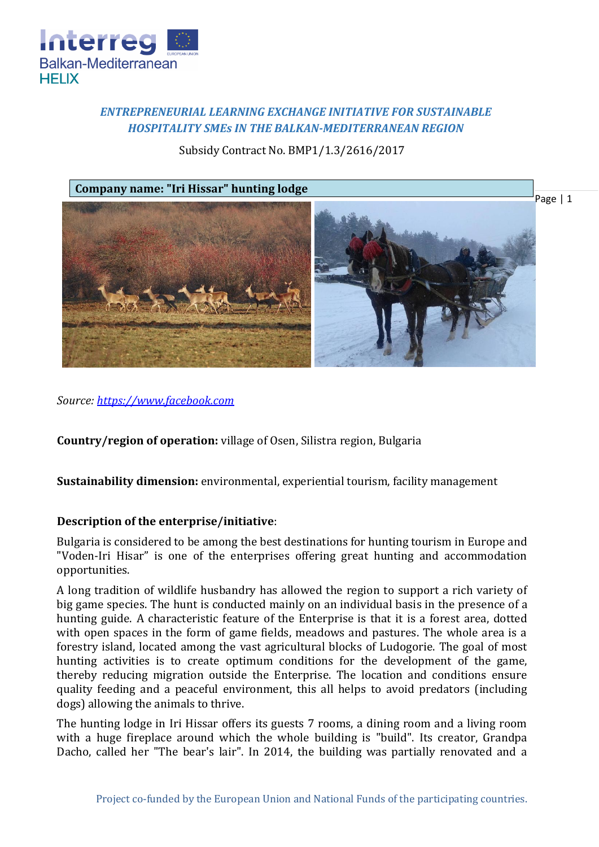

# *ENTREPRENEURIAL LEARNING EXCHANGE INITIATIVE FOR SUSTAINABLE HOSPITALITY SMEs IN THE BALKAN-MEDITERRANEAN REGION*

Subsidy Contract No. BMP1/1.3/2616/2017



*Source: [https://www.facebook.com](https://www.facebook.com/Voden-Iri-Hisar-Hunting-reserve-336098003246477/)*

**Country/region of operation:** village of Osen, Silistra region, Bulgaria

**Sustainability dimension:** environmental, experiential tourism, facility management

## **Description of the enterprise/initiative**:

Bulgaria is considered to be among the best destinations for hunting tourism in Europe and "Voden-Iri Hisar" is one of the enterprises offering great hunting and accommodation opportunities.

A long tradition of wildlife husbandry has allowed the region to support a rich variety of big game species. The hunt is conducted mainly on an individual basis in the presence of a hunting guide. A characteristic feature of the Enterprise is that it is a forest area, dotted with open spaces in the form of game fields, meadows and pastures. The whole area is a forestry island, located among the vast agricultural blocks of Ludogorie. The goal of most hunting activities is to create optimum conditions for the development of the game, thereby reducing migration outside the Enterprise. The location and conditions ensure quality feeding and a peaceful environment, this all helps to avoid predators (including dogs) allowing the animals to thrive.

The hunting lodge in Iri Hissar offers its guests 7 rooms, a dining room and a living room with a huge fireplace around which the whole building is "build". Its creator, Grandpa Dacho, called her "The bear's lair". In 2014, the building was partially renovated and a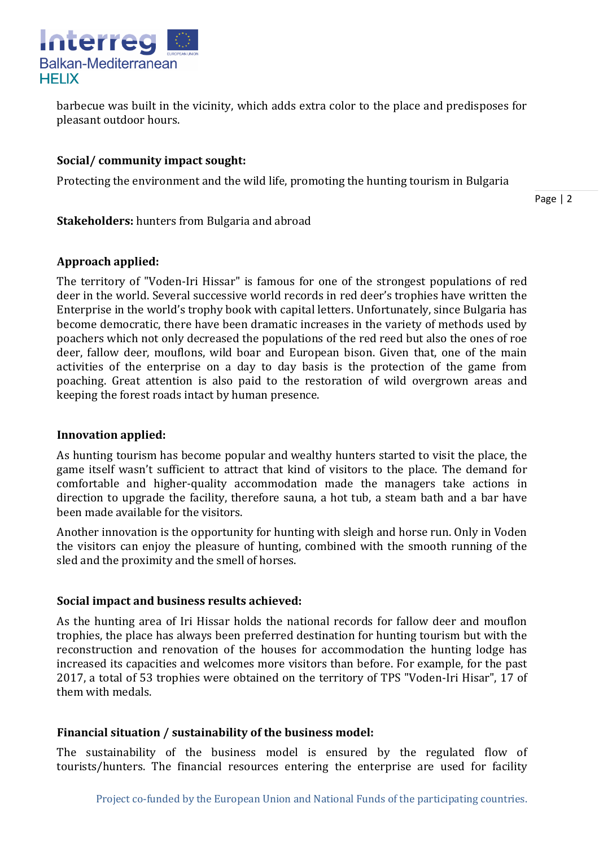

barbecue was built in the vicinity, which adds extra color to the place and predisposes for pleasant outdoor hours.

## **Social/ community impact sought:**

Protecting the environment and the wild life, promoting the hunting tourism in Bulgaria

Page | 2

## **Stakeholders:** hunters from Bulgaria and abroad

## **Approach applied:**

The territory of "Voden-Iri Hissar" is famous for one of the strongest populations of red deer in the world. Several successive world records in red deer's trophies have written the Enterprise in the world's trophy book with capital letters. Unfortunately, since Bulgaria has become democratic, there have been dramatic increases in the variety of methods used by poachers which not only decreased the populations of the red reed but also the ones of roe deer, fallow deer, mouflons, wild boar and European bison. Given that, one of the main activities of the enterprise on a day to day basis is the protection of the game from poaching. Great attention is also paid to the restoration of wild overgrown areas and keeping the forest roads intact by human presence.

## **Innovation applied:**

As hunting tourism has become popular and wealthy hunters started to visit the place, the game itself wasn't sufficient to attract that kind of visitors to the place. The demand for comfortable and higher-quality accommodation made the managers take actions in direction to upgrade the facility, therefore sauna, a hot tub, a steam bath and a bar have been made available for the visitors.

Another innovation is the opportunity for hunting with sleigh and horse run. Only in Voden the visitors can enjoy the pleasure of hunting, combined with the smooth running of the sled and the proximity and the smell of horses.

## **Social impact and business results achieved:**

As the hunting area of Iri Hissar holds the national records for fallow deer and mouflon trophies, the place has always been preferred destination for hunting tourism but with the reconstruction and renovation of the houses for accommodation the hunting lodge has increased its capacities and welcomes more visitors than before. For example, for the past 2017, a total of 53 trophies were obtained on the territory of TPS "Voden-Iri Hisar", 17 of them with medals.

## **Financial situation / sustainability of the business model:**

The sustainability of the business model is ensured by the regulated flow of tourists/hunters. The financial resources entering the enterprise are used for facility